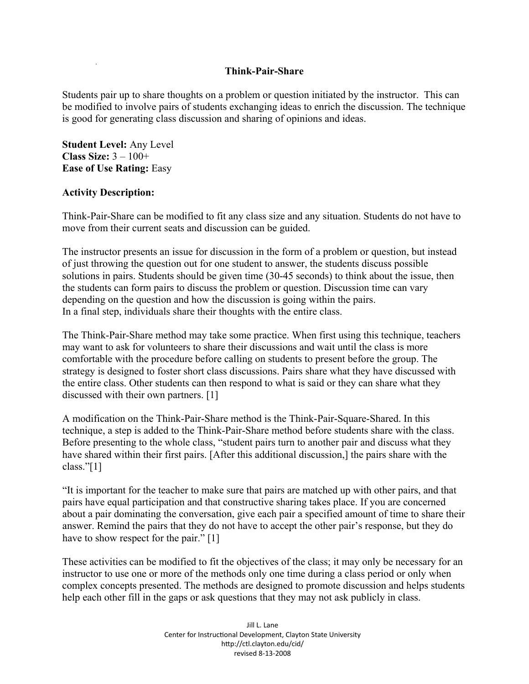## **Think-Pair-Share**

Students pair up to share thoughts on a problem or question initiated by the instructor. This can be modified to involve pairs of students exchanging ideas to enrich the discussion. The technique is good for generating class discussion and sharing of opinions and ideas.

**Student Level:** Any Level **Class Size:** 3 – 100+ **Ease of Use Rating:** Easy

## **Activity Description:**

Think-Pair-Share can be modified to fit any class size and any situation. Students do not have to move from their current seats and discussion can be guided.

The instructor presents an issue for discussion in the form of a problem or question, but instead of just throwing the question out for one student to answer, the students discuss possible solutions in pairs. Students should be given time (30-45 seconds) to think about the issue, then the students can form pairs to discuss the problem or question. Discussion time can vary depending on the question and how the discussion is going within the pairs. In a final step, individuals share their thoughts with the entire class.

The Think-Pair-Share method may take some practice. When first using this technique, teachers may want to ask for volunteers to share their discussions and wait until the class is more comfortable with the procedure before calling on students to present before the group. The strategy is designed to foster short class discussions. Pairs share what they have discussed with the entire class. Other students can then respond to what is said or they can share what they discussed with their own partners. [1]

A modification on the Think-Pair-Share method is the Think-Pair-Square-Shared. In this technique, a step is added to the Think-Pair-Share method before students share with the class. Before presenting to the whole class, "student pairs turn to another pair and discuss what they have shared within their first pairs. [After this additional discussion,] the pairs share with the class."[1]

"It is important for the teacher to make sure that pairs are matched up with other pairs, and that pairs have equal participation and that constructive sharing takes place. If you are concerned about a pair dominating the conversation, give each pair a specified amount of time to share their answer. Remind the pairs that they do not have to accept the other pair's response, but they do have to show respect for the pair." [1]

These activities can be modified to fit the objectives of the class; it may only be necessary for an instructor to use one or more of the methods only one time during a class period or only when complex concepts presented. The methods are designed to promote discussion and helps students help each other fill in the gaps or ask questions that they may not ask publicly in class.